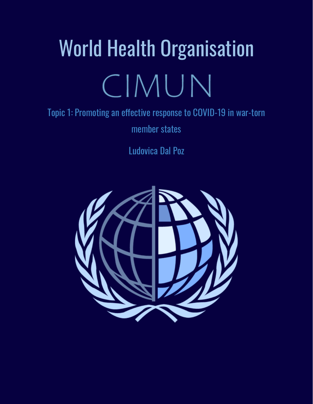# World Health Organisation CIMUN

# Topic 1: Promoting an effective response to COVID-19 in war-torn

member states

Ludovica Dal Poz

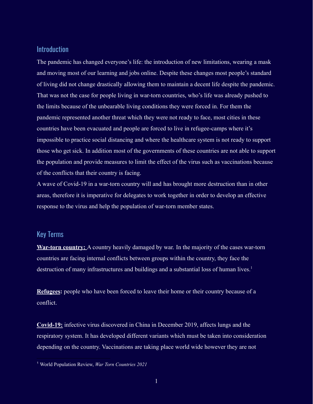### **Introduction**

The pandemic has changed everyone's life: the introduction of new limitations, wearing a mask and moving most of our learning and jobs online. Despite these changes most people's standard of living did not change drastically allowing them to maintain a decent life despite the pandemic. That was not the case for people living in war-torn countries, who's life was already pushed to the limits because of the unbearable living conditions they were forced in. For them the pandemic represented another threat which they were not ready to face, most cities in these countries have been evacuated and people are forced to live in refugee-camps where it's impossible to practice social distancing and where the healthcare system is not ready to support those who get sick. In addition most of the governments of these countries are not able to support the population and provide measures to limit the effect of the virus such as vaccinations because of the conflicts that their country is facing.

A wave of Covid-19 in a war-torn country will and has brought more destruction than in other areas, therefore it is imperative for delegates to work together in order to develop an effective response to the virus and help the population of war-torn member states.

# Key Terms

**War-torn country:** A country heavily damaged by war. In the majority of the cases war-torn countries are facing internal conflicts between groups within the country, they face the destruction of many infrastructures and buildings and a substantial loss of human lives.<sup>1</sup>

**Refugees:** people who have been forced to leave their home or their country because of a conflict.

**Covid-19:** infective virus discovered in China in December 2019, affects lungs and the respiratory system. It has developed different variants which must be taken into consideration depending on the country. Vaccinations are taking place world wide however they are not

<sup>1</sup> World Population Review, *War Torn Countries 2021*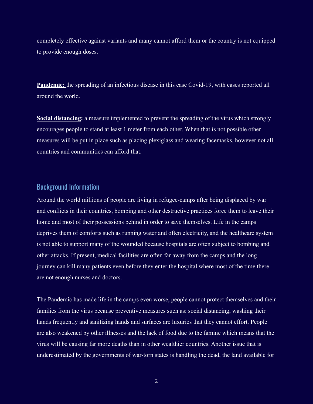completely effective against variants and many cannot afford them or the country is not equipped to provide enough doses.

**Pandemic:** the spreading of an infectious disease in this case Covid-19, with cases reported all around the world.

**Social distancing:** a measure implemented to prevent the spreading of the virus which strongly encourages people to stand at least 1 meter from each other. When that is not possible other measures will be put in place such as placing plexiglass and wearing facemasks, however not all countries and communities can afford that.

# Background Information

Around the world millions of people are living in refugee-camps after being displaced by war and conflicts in their countries, bombing and other destructive practices force them to leave their home and most of their possessions behind in order to save themselves. Life in the camps deprives them of comforts such as running water and often electricity, and the healthcare system is not able to support many of the wounded because hospitals are often subject to bombing and other attacks. If present, medical facilities are often far away from the camps and the long journey can kill many patients even before they enter the hospital where most of the time there are not enough nurses and doctors.

The Pandemic has made life in the camps even worse, people cannot protect themselves and their families from the virus because preventive measures such as: social distancing, washing their hands frequently and sanitizing hands and surfaces are luxuries that they cannot effort. People are also weakened by other illnesses and the lack of food due to the famine which means that the virus will be causing far more deaths than in other wealthier countries. Another issue that is underestimated by the governments of war-torn states is handling the dead, the land available for

2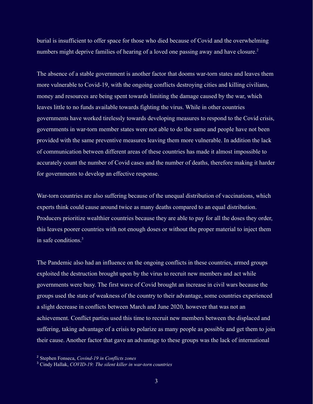burial is insufficient to offer space for those who died because of Covid and the overwhelming numbers might deprive families of hearing of a loved one passing away and have closure.<sup>2</sup>

The absence of a stable government is another factor that dooms war-torn states and leaves them more vulnerable to Covid-19, with the ongoing conflicts destroying cities and killing civilians, money and resources are being spent towards limiting the damage caused by the war, which leaves little to no funds available towards fighting the virus. While in other countries governments have worked tirelessly towards developing measures to respond to the Covid crisis, governments in war-torn member states were not able to do the same and people have not been provided with the same preventive measures leaving them more vulnerable. In addition the lack of communication between different areas of these countries has made it almost impossible to accurately count the number of Covid cases and the number of deaths, therefore making it harder for governments to develop an effective response.

War-torn countries are also suffering because of the unequal distribution of vaccinations, which experts think could cause around twice as many deaths compared to an equal distribution. Producers prioritize wealthier countries because they are able to pay for all the doses they order, this leaves poorer countries with not enough doses or without the proper material to inject them in safe conditions  $3$ 

The Pandemic also had an influence on the ongoing conflicts in these countries, armed groups exploited the destruction brought upon by the virus to recruit new members and act while governments were busy. The first wave of Covid brought an increase in civil wars because the groups used the state of weakness of the country to their advantage, some countries experienced a slight decrease in conflicts between March and June 2020, however that was not an achievement. Conflict parties used this time to recruit new members between the displaced and suffering, taking advantage of a crisis to polarize as many people as possible and get them to join their cause. Another factor that gave an advantage to these groups was the lack of international

<sup>2</sup> Stephen Fonseca, *Covind-19 in Conflicts zones*

<sup>3</sup> Cindy Hallak, *COVID-19: The silent killer in war-torn countries*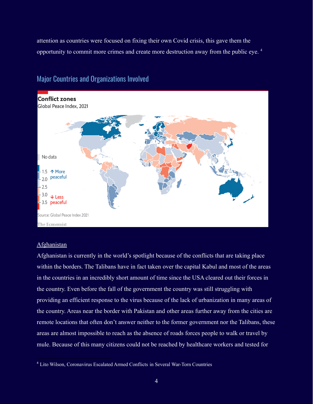attention as countries were focused on fixing their own Covid crisis, this gave them the opportunity to commit more crimes and create more destruction away from the public eye. <sup>4</sup>



# Major Countries and Organizations Involved

#### Afghanistan

Afghanistan is currently in the world's spotlight because of the conflicts that are taking place within the borders. The Talibans have in fact taken over the capital Kabul and most of the areas in the countries in an incredibly short amount of time since the USA cleared out their forces in the country. Even before the fall of the government the country was still struggling with providing an efficient response to the virus because of the lack of urbanization in many areas of the country. Areas near the border with Pakistan and other areas further away from the cities are remote locations that often don't answer neither to the former government nor the Talibans, these areas are almost impossible to reach as the absence of roads forces people to walk or travel by mule. Because of this many citizens could not be reached by healthcare workers and tested for

<sup>4</sup> Lito Wilson, Coronavirus Escalated Armed Conflicts in Several War-Torn Countries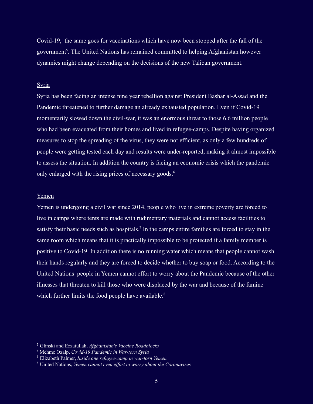Covid-19, the same goes for vaccinations which have now been stopped after the fall of the government<sup>5</sup>. The United Nations has remained committed to helping Afghanistan however dynamics might change depending on the decisions of the new Taliban government.

#### Syria

Syria has been facing an intense nine year rebellion against President Bashar al-Assad and the Pandemic threatened to further damage an already exhausted population. Even if Covid-19 momentarily slowed down the civil-war, it was an enormous threat to those 6.6 million people who had been evacuated from their homes and lived in refugee-camps. Despite having organized measures to stop the spreading of the virus, they were not efficient, as only a few hundreds of people were getting tested each day and results were under-reported, making it almost impossible to assess the situation. In addition the country is facing an economic crisis which the pandemic only enlarged with the rising prices of necessary goods.<sup>6</sup>

#### Yemen

Yemen is undergoing a civil war since 2014, people who live in extreme poverty are forced to live in camps where tents are made with rudimentary materials and cannot access facilities to satisfy their basic needs such as hospitals.<sup>7</sup> In the camps entire families are forced to stay in the same room which means that it is practically impossible to be protected if a family member is positive to Covid-19. In addition there is no running water which means that people cannot wash their hands regularly and they are forced to decide whether to buy soap or food. According to the United Nations people in Yemen cannot effort to worry about the Pandemic because of the other illnesses that threaten to kill those who were displaced by the war and because of the famine which further limits the food people have available.<sup>8</sup>

<sup>5</sup> Glinski and Ezzatullah, *Afghanistan's Vaccine Roadblocks*

<sup>6</sup> Mehme Ozalp, *Covid-19 Pandemic in War-torn Syria*

<sup>7</sup> Elizabeth Palmer, *Inside one refugee-camp in war-torn Yemen*

<sup>8</sup> United Nations, *Yemen cannot even ef ort to worry about the Coronavirus*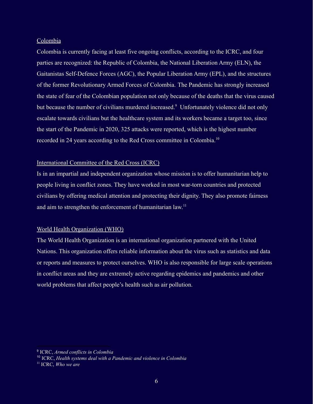#### Colombia

Colombia is currently facing at least five ongoing conflicts, according to the ICRC, and four parties are recognized: the Republic of Colombia, the National Liberation Army (ELN), the Gaitanistas Self-Defence Forces (AGC), the Popular Liberation Army (EPL), and the structures of the former Revolutionary Armed Forces of Colombia. The Pandemic has strongly increased the state of fear of the Colombian population not only because of the deaths that the virus caused but because the number of civilians murdered increased.<sup>9</sup> Unfortunately violence did not only escalate towards civilians but the healthcare system and its workers became a target too, since the start of the Pandemic in 2020, 325 attacks were reported, which is the highest number recorded in 24 years according to the Red Cross committee in Colombia.<sup>10</sup>

#### International Committee of the Red Cross (ICRC)

Is in an impartial and independent organization whose mission is to offer humanitarian help to people living in conflict zones. They have worked in most war-torn countries and protected civilians by offering medical attention and protecting their dignity. They also promote fairness and aim to strengthen the enforcement of humanitarian  $law$ <sup>11</sup>

#### World Health Organization (WHO)

The World Health Organization is an international organization partnered with the United Nations. This organization offers reliable information about the virus such as statistics and data or reports and measures to protect ourselves. WHO is also responsible for large scale operations in conflict areas and they are extremely active regarding epidemics and pandemics and other world problems that affect people's health such as air pollution.

<sup>9</sup> ICRC, *Armed conflicts in Colombia*

<sup>10</sup> ICRC, *Health systems deal with a Pandemic and violence in Colombia*

<sup>11</sup> ICRC, *Who we are*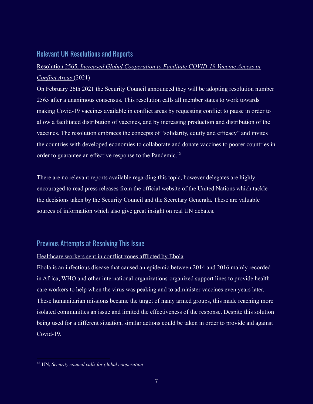#### Relevant UN Resolutions and Reports

# Resolution 2565, *Increased Global Cooperation to Facilitate COVID-19 Vaccine Access in Conflict Areas* (2021)

On February 26th 2021 the Security Council announced they will be adopting resolution number 2565 after a unanimous consensus. This resolution calls all member states to work towards making Covid-19 vaccines available in conflict areas by requesting conflict to pause in order to allow a facilitated distribution of vaccines, and by increasing production and distribution of the vaccines. The resolution embraces the concepts of "solidarity, equity and efficacy" and invites the countries with developed economies to collaborate and donate vaccines to poorer countries in order to guarantee an effective response to the Pandemic.<sup>12</sup>

There are no relevant reports available regarding this topic, however delegates are highly encouraged to read press releases from the official website of the United Nations which tackle the decisions taken by the Security Council and the Secretary Generala. These are valuable sources of information which also give great insight on real UN debates.

# Previous Attempts at Resolving This Issue

#### Healthcare workers sent in conflict zones afflicted by Ebola

Ebola is an infectious disease that caused an epidemic between 2014 and 2016 mainly recorded in Africa, WHO and other international organizations organized support lines to provide health care workers to help when the virus was peaking and to administer vaccines even years later. These humanitarian missions became the target of many armed groups, this made reaching more isolated communities an issue and limited the effectiveness of the response. Despite this solution being used for a different situation, similar actions could be taken in order to provide aid against Covid-19.

<sup>12</sup> UN, *Security council calls for global cooperation*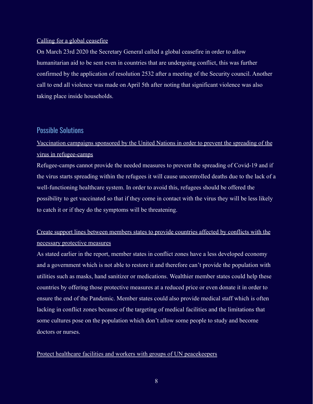#### Calling for a global ceasefire

On March 23rd 2020 the Secretary General called a global ceasefire in order to allow humanitarian aid to be sent even in countries that are undergoing conflict, this was further confirmed by the application of resolution 2532 after a meeting of the Security council. Another call to end all violence was made on April 5th after noting that significant violence was also taking place inside households.

#### Possible Solutions

# Vaccination campaigns sponsored by the United Nations in order to prevent the spreading of the virus in refugee-camps

Refugee-camps cannot provide the needed measures to prevent the spreading of Covid-19 and if the virus starts spreading within the refugees it will cause uncontrolled deaths due to the lack of a well-functioning healthcare system. In order to avoid this, refugees should be offered the possibility to get vaccinated so that if they come in contact with the virus they will be less likely to catch it or if they do the symptoms will be threatening.

# Create support lines between members states to provide countries affected by conflicts with the necessary protective measures

As stated earlier in the report, member states in conflict zones have a less developed economy and a government which is not able to restore it and therefore can't provide the population with utilities such as masks, hand sanitizer or medications. Wealthier member states could help these countries by offering those protective measures at a reduced price or even donate it in order to ensure the end of the Pandemic. Member states could also provide medical staff which is often lacking in conflict zones because of the targeting of medical facilities and the limitations that some cultures pose on the population which don't allow some people to study and become doctors or nurses.

#### Protect healthcare facilities and workers with groups of UN peacekeepers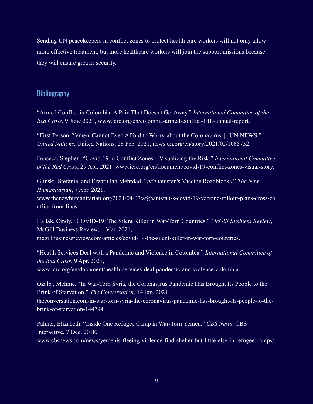Sending UN peacekeepers in conflict zones to protect health care workers will not only allow more effective treatment, but more healthcare workers will join the support missions because they will ensure greater security.

# **Bibliography**

"Armed Conflict in Colombia: A Pain That Doesn't Go Away." *International Committee of the Red Cross*, 9 June 2021, www.icrc.org/en/colombia-armed-conflict-IHL-annual-report.

"First Person: Yemen 'Cannot Even Afford to Worry about the Coronavirus' | | UN NEWS." *United Nations*, United Nations, 28 Feb. 2021, news.un.org/en/story/2021/02/1085732.

Fonseca, Stephen. "Covid-19 in Conflict Zones – Visualizing the Risk." *International Committee of the Red Cross*, 29 Apr. 2021, www.icrc.org/en/document/covid-19-conflict-zones-visual-story.

Glinski, Stefanie, and Ezzatullah Mehrdad. "Afghanistan's Vaccine Roadblocks." *The New Humanitarian*, 7 Apr. 2021,

www.thenewhumanitarian.org/2021/04/07/afghanistan-s-covid-19-vaccine-rollout-plans-cross-co nflict-front-lines.

Hallak, Cindy. "COVID-19: The Silent Killer in War-Torn Countries." *McGill Business Review*, McGill Business Review, 4 Mar. 2021, mcgillbusinessreview.com/articles/covid-19-the-silent-killer-in-war-torn-countries.

"Health Services Deal with a Pandemic and Violence in Colombia." *International Committee of the Red Cross*, 9 Apr. 2021,

www.icrc.org/en/document/health-services-deal-pandemic-and-violence-colombia.

Ozalp , Mehme. "In War-Torn Syria, the Coronavirus Pandemic Has Brought Its People to the Brink of Starvation." *The Conversation*, 14 Jan. 2021,

theconversation.com/in-war-torn-syria-the-coronavirus-pandemic-has-brought-its-people-to-thebrink-of-starvation-144794.

Palmer, Elizabeth. "Inside One Refugee Camp in War-Torn Yemen." *CBS News*, CBS Interactive, 7 Dec. 2018,

www.cbsnews.com/news/yemenis-fleeing-violence-find-shelter-but-little-else-in-refugee-camps/.